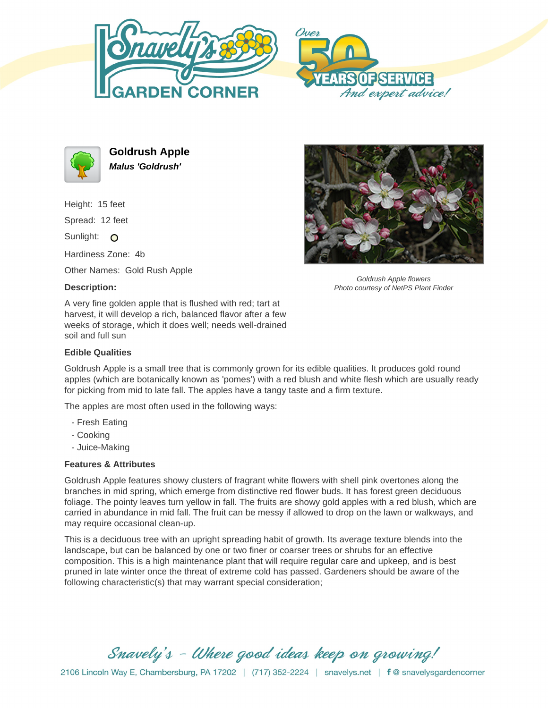





**Goldrush Apple Malus 'Goldrush'**

Height: 15 feet

Spread: 12 feet

Sunlight: O

Hardiness Zone: 4b

Other Names: Gold Rush Apple

## **Description:**

A very fine golden apple that is flushed with red; tart at harvest, it will develop a rich, balanced flavor after a few weeks of storage, which it does well; needs well-drained soil and full sun

## **Edible Qualities**

Goldrush Apple is a small tree that is commonly grown for its edible qualities. It produces gold round apples (which are botanically known as 'pomes') with a red blush and white flesh which are usually ready for picking from mid to late fall. The apples have a tangy taste and a firm texture.

The apples are most often used in the following ways:

- Fresh Eating
- Cooking
- Juice-Making

## **Features & Attributes**

Goldrush Apple features showy clusters of fragrant white flowers with shell pink overtones along the branches in mid spring, which emerge from distinctive red flower buds. It has forest green deciduous foliage. The pointy leaves turn yellow in fall. The fruits are showy gold apples with a red blush, which are carried in abundance in mid fall. The fruit can be messy if allowed to drop on the lawn or walkways, and may require occasional clean-up.

This is a deciduous tree with an upright spreading habit of growth. Its average texture blends into the landscape, but can be balanced by one or two finer or coarser trees or shrubs for an effective composition. This is a high maintenance plant that will require regular care and upkeep, and is best pruned in late winter once the threat of extreme cold has passed. Gardeners should be aware of the following characteristic(s) that may warrant special consideration;

Snavely's - Where good ideas keep on growing!



Goldrush Apple flowers Photo courtesy of NetPS Plant Finder